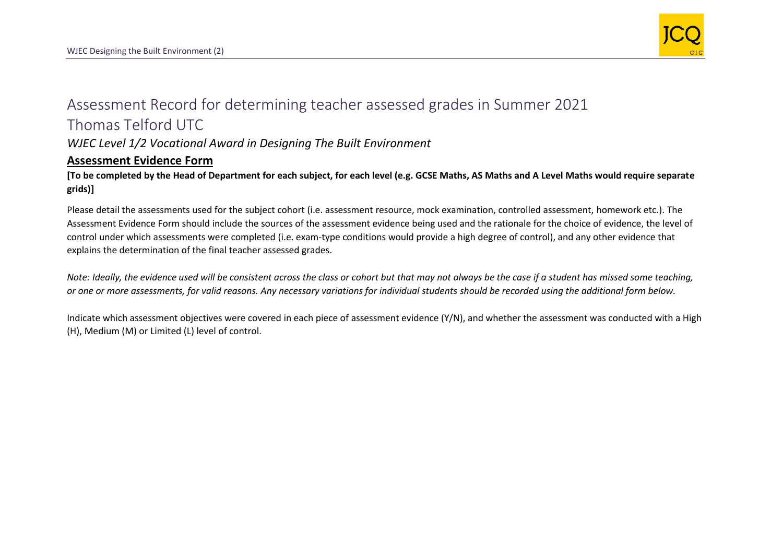

## Assessment Record for determining teacher assessed grades in Summer 2021 Thomas Telford UTC

*WJEC Level 1/2 Vocational Award in Designing The Built Environment*

## **Assessment Evidence Form**

**[To be completed by the Head of Department for each subject, for each level (e.g. GCSE Maths, AS Maths and A Level Maths would require separate grids)]**

Please detail the assessments used for the subject cohort (i.e. assessment resource, mock examination, controlled assessment, homework etc.). The Assessment Evidence Form should include the sources of the assessment evidence being used and the rationale for the choice of evidence, the level of control under which assessments were completed (i.e. exam-type conditions would provide a high degree of control), and any other evidence that explains the determination of the final teacher assessed grades.

*Note: Ideally, the evidence used will be consistent across the class or cohort but that may not always be the case if a student has missed some teaching, or one or more assessments, for valid reasons. Any necessary variations for individual students should be recorded using the additional form below.* 

Indicate which assessment objectives were covered in each piece of assessment evidence (Y/N), and whether the assessment was conducted with a High (H), Medium (M) or Limited (L) level of control.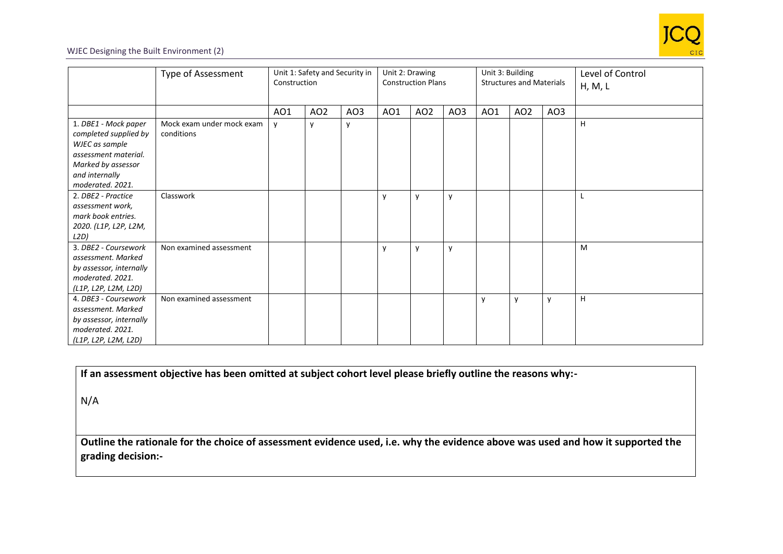

## WJEC Designing the Built Environment (2)

|                                                                                                                                                     | <b>Type of Assessment</b>               | Unit 1: Safety and Security in<br>Construction |                 | Unit 2: Drawing<br><b>Construction Plans</b> |     |                 | Unit 3: Building<br><b>Structures and Materials</b> |              |                 | Level of Control<br>H, M, L |   |
|-----------------------------------------------------------------------------------------------------------------------------------------------------|-----------------------------------------|------------------------------------------------|-----------------|----------------------------------------------|-----|-----------------|-----------------------------------------------------|--------------|-----------------|-----------------------------|---|
|                                                                                                                                                     |                                         | AO1                                            | AO <sub>2</sub> | AO3                                          | AO1 | AO <sub>2</sub> | AO3                                                 | AO1          | AO <sub>2</sub> | AO3                         |   |
| 1. DBE1 - Mock paper<br>completed supplied by<br>WJEC as sample<br>assessment material.<br>Marked by assessor<br>and internally<br>moderated. 2021. | Mock exam under mock exam<br>conditions | $\mathsf{v}$                                   | v               |                                              |     |                 |                                                     |              |                 |                             | H |
| 2. DBE2 - Practice<br>assessment work,<br>mark book entries.<br>2020. (L1P, L2P, L2M,<br>L2D)                                                       | Classwork                               |                                                |                 |                                              | y   | $\mathsf{v}$    | v                                                   |              |                 |                             |   |
| 3. DBE2 - Coursework<br>assessment. Marked<br>by assessor, internally<br>moderated. 2021.<br>(L1P, L2P, L2M, L2D)                                   | Non examined assessment                 |                                                |                 |                                              | v   | $\mathsf{v}$    | v                                                   |              |                 |                             | M |
| 4. DBE3 - Coursework<br>assessment. Marked<br>by assessor, internally<br>moderated. 2021.<br>(L1P, L2P, L2M, L2D)                                   | Non examined assessment                 |                                                |                 |                                              |     |                 |                                                     | $\mathsf{v}$ | y               | $\mathsf{V}$                | H |

|  |  | If an assessment objective has been omitted at subject cohort level please briefly outline the reasons why:- |
|--|--|--------------------------------------------------------------------------------------------------------------|
|--|--|--------------------------------------------------------------------------------------------------------------|

N/A

**Outline the rationale for the choice of assessment evidence used, i.e. why the evidence above was used and how it supported the grading decision:-**